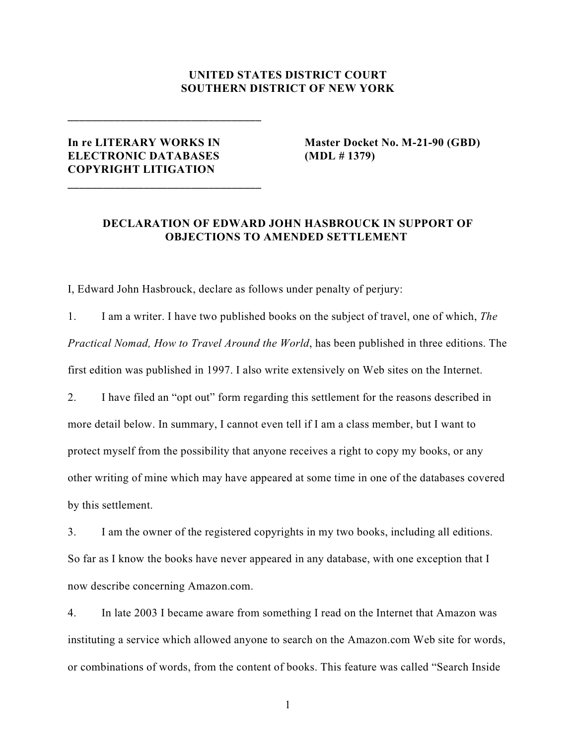## **UNITED STATES DISTRICT COURT SOUTHERN DISTRICT OF NEW YORK**

## **ELECTRONIC DATABASES (MDL # 1379) COPYRIGHT LITIGATION**

**\_\_\_\_\_\_\_\_\_\_\_\_\_\_\_\_\_\_\_\_\_\_\_\_\_\_\_\_\_\_\_\_\_**

**\_\_\_\_\_\_\_\_\_\_\_\_\_\_\_\_\_\_\_\_\_\_\_\_\_\_\_\_\_\_\_\_\_**

**In re LITERARY WORKS IN Master Docket No. M-21-90 (GBD)**

## **DECLARATION OF EDWARD JOHN HASBROUCK IN SUPPORT OF OBJECTIONS TO AMENDED SETTLEMENT**

I, Edward John Hasbrouck, declare as follows under penalty of perjury:

1. I am a writer. I have two published books on the subject of travel, one of which, *The Practical Nomad, How to Travel Around the World*, has been published in three editions. The first edition was published in 1997. I also write extensively on Web sites on the Internet.

2. I have filed an "opt out" form regarding this settlement for the reasons described in more detail below. In summary, I cannot even tell if I am a class member, but I want to protect myself from the possibility that anyone receives a right to copy my books, or any other writing of mine which may have appeared at some time in one of the databases covered by this settlement.

3. I am the owner of the registered copyrights in my two books, including all editions. So far as I know the books have never appeared in any database, with one exception that I now describe concerning Amazon.com.

4. In late 2003 I became aware from something I read on the Internet that Amazon was instituting a service which allowed anyone to search on the Amazon.com Web site for words, or combinations of words, from the content of books. This feature was called "Search Inside

1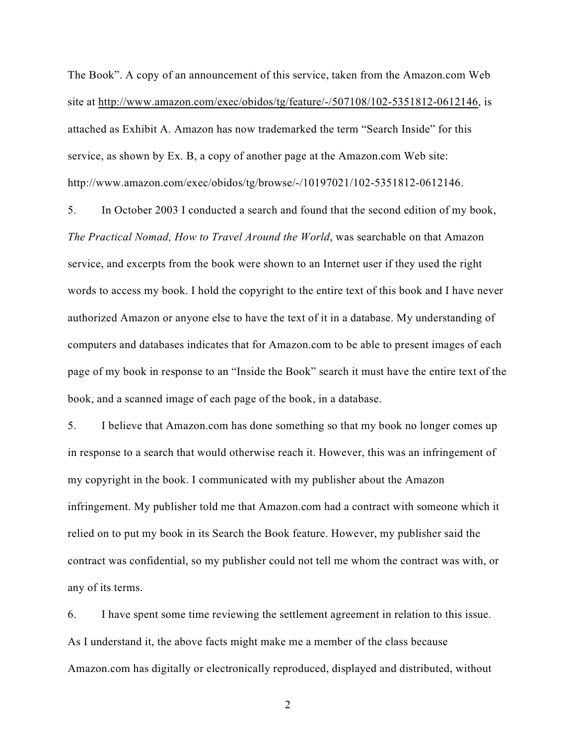The Book". A copy of an announcement of this service, taken from the Amazon.com Web site at<http://www.amazon.com/exec/obidos/tg/feature/-/507108/102-5351812-0612146>, is attached as Exhibit A. Amazon has now trademarked the term "Search Inside" for this service, as shown by Ex. B, a copy of another page at the Amazon.com Web site: http://www.amazon.com/exec/obidos/tg/browse/-/10197021/102-5351812-0612146.

5. In October 2003 I conducted a search and found that the second edition of my book, *The Practical Nomad, How to Travel Around the World*, was searchable on that Amazon service, and excerpts from the book were shown to an Internet user if they used the right words to access my book. I hold the copyright to the entire text of this book and I have never authorized Amazon or anyone else to have the text of it in a database. My understanding of computers and databases indicates that for Amazon.com to be able to present images of each page of my book in response to an "Inside the Book" search it must have the entire text of the book, and a scanned image of each page of the book, in a database.

5. I believe that Amazon.com has done something so that my book no longer comes up in response to a search that would otherwise reach it. However, this was an infringement of my copyright in the book. I communicated with my publisher about the Amazon infringement. My publisher told me that Amazon.com had a contract with someone which it relied on to put my book in its Search the Book feature. However, my publisher said the contract was confidential, so my publisher could not tell me whom the contract was with, or any of its terms.

6. I have spent some time reviewing the settlement agreement in relation to this issue. As I understand it, the above facts might make me a member of the class because Amazon.com has digitally or electronically reproduced, displayed and distributed, without

2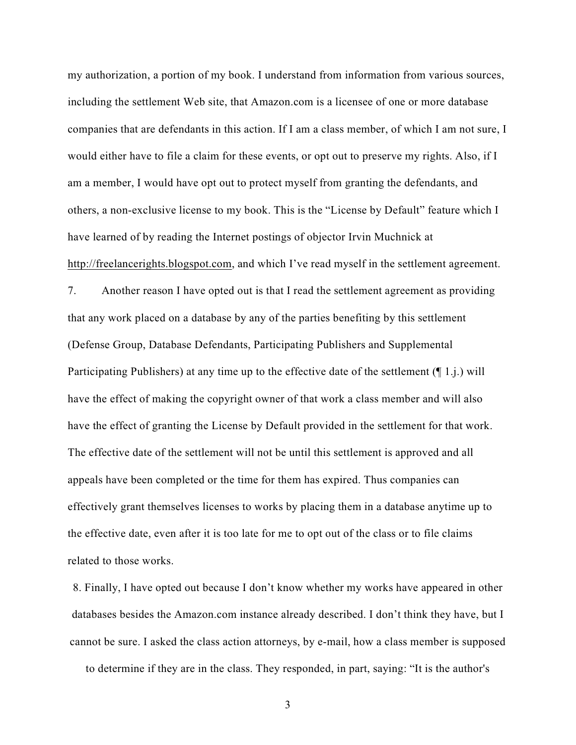my authorization, a portion of my book. I understand from information from various sources, including the settlement Web site, that Amazon.com is a licensee of one or more database companies that are defendants in this action. If I am a class member, of which I am not sure, I would either have to file a claim for these events, or opt out to preserve my rights. Also, if I am a member, I would have opt out to protect myself from granting the defendants, and others, a non-exclusive license to my book. This is the "License by Default" feature which I have learned of by reading the Internet postings of objector Irvin Muchnick at <http://freelancerights.blogspot.com>, and which I've read myself in the settlement agreement.

7. Another reason I have opted out is that I read the settlement agreement as providing that any work placed on a database by any of the parties benefiting by this settlement (Defense Group, Database Defendants, Participating Publishers and Supplemental Participating Publishers) at any time up to the effective date of the settlement (¶ 1.j.) will have the effect of making the copyright owner of that work a class member and will also have the effect of granting the License by Default provided in the settlement for that work. The effective date of the settlement will not be until this settlement is approved and all appeals have been completed or the time for them has expired. Thus companies can effectively grant themselves licenses to works by placing them in a database anytime up to the effective date, even after it is too late for me to opt out of the class or to file claims related to those works.

8. Finally, I have opted out because I don't know whether my works have appeared in other databases besides the Amazon.com instance already described. I don't think they have, but I cannot be sure. I asked the class action attorneys, by e-mail, how a class member is supposed

to determine if they are in the class. They responded, in part, saying: "It is the author's

3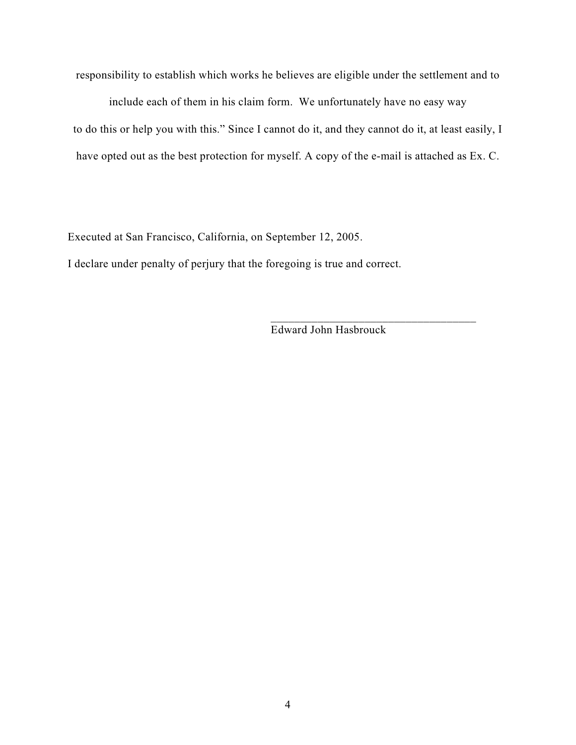responsibility to establish which works he believes are eligible under the settlement and to

include each of them in his claim form. We unfortunately have no easy way to do this or help you with this." Since I cannot do it, and they cannot do it, at least easily, I have opted out as the best protection for myself. A copy of the e-mail is attached as Ex. C.

Executed at San Francisco, California, on September 12, 2005.

I declare under penalty of perjury that the foregoing is true and correct.

Edward John Hasbrouck

\_\_\_\_\_\_\_\_\_\_\_\_\_\_\_\_\_\_\_\_\_\_\_\_\_\_\_\_\_\_\_\_\_\_\_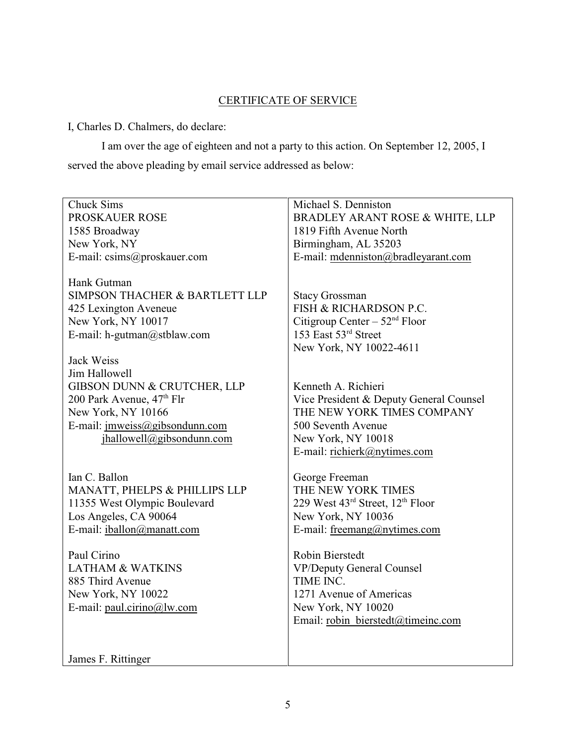## CERTIFICATE OF SERVICE

I, Charles D. Chalmers, do declare:

I am over the age of eighteen and not a party to this action. On September 12, 2005, I served the above pleading by email service addressed as below:

| <b>Chuck Sims</b>                     | Michael S. Denniston                    |
|---------------------------------------|-----------------------------------------|
| PROSKAUER ROSE                        | BRADLEY ARANT ROSE & WHITE, LLP         |
| 1585 Broadway                         | 1819 Fifth Avenue North                 |
| New York, NY                          | Birmingham, AL 35203                    |
| E-mail: csims@proskauer.com           | E-mail: mdenniston@bradleyarant.com     |
|                                       |                                         |
| Hank Gutman                           |                                         |
| SIMPSON THACHER & BARTLETT LLP        | <b>Stacy Grossman</b>                   |
| 425 Lexington Aveneue                 | FISH & RICHARDSON P.C.                  |
| New York, NY 10017                    | Citigroup Center – $52nd$ Floor         |
| E-mail: h-gutman@stblaw.com           | 153 East 53rd Street                    |
|                                       | New York, NY 10022-4611                 |
| Jack Weiss                            |                                         |
| Jim Hallowell                         |                                         |
| GIBSON DUNN & CRUTCHER, LLP           | Kenneth A. Richieri                     |
| 200 Park Avenue, 47 <sup>th</sup> Flr | Vice President & Deputy General Counsel |
| New York, NY 10166                    | THE NEW YORK TIMES COMPANY              |
| E-mail: jmweiss@gibsondunn.com        | 500 Seventh Avenue                      |
| jhallowell@gibsondunn.com             | New York, NY 10018                      |
|                                       | E-mail: richierk@nytimes.com            |
|                                       |                                         |
| Ian C. Ballon                         | George Freeman                          |
| MANATT, PHELPS & PHILLIPS LLP         | THE NEW YORK TIMES                      |
| 11355 West Olympic Boulevard          | 229 West 43rd Street, 12th Floor        |
| Los Angeles, CA 90064                 | New York, NY 10036                      |
| E-mail: iballon@manatt.com            | E-mail: freemang@nytimes.com            |
|                                       |                                         |
| Paul Cirino                           | Robin Bierstedt                         |
| <b>LATHAM &amp; WATKINS</b>           | <b>VP/Deputy General Counsel</b>        |
| 885 Third Avenue                      | TIME INC.                               |
| New York, NY 10022                    | 1271 Avenue of Americas                 |
| E-mail: paul.cirino@lw.com            | New York, NY 10020                      |
|                                       | Email: robin bierstedt@timeinc.com      |
|                                       |                                         |
|                                       |                                         |
| James F. Rittinger                    |                                         |